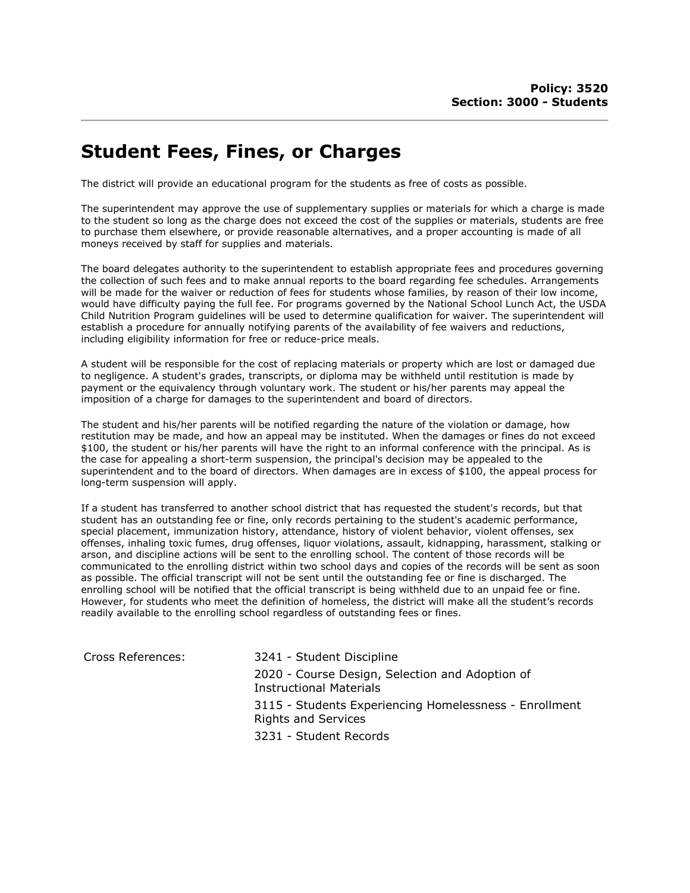## Student Fees, Fines, or Charges

The district will provide an educational program for the students as free of costs as possible.

The superintendent may approve the use of supplementary supplies or materials for which a charge is made to the student so long as the charge does not exceed the cost of the supplies or materials, students are free to purchase them elsewhere, or provide reasonable alternatives, and a proper accounting is made of all moneys received by staff for supplies and materials.

The board delegates authority to the superintendent to establish appropriate fees and procedures governing the collection of such fees and to make annual reports to the board regarding fee schedules. Arrangements will be made for the waiver or reduction of fees for students whose families, by reason of their low income, would have difficulty paying the full fee. For programs governed by the National School Lunch Act, the USDA Child Nutrition Program guidelines will be used to determine qualification for waiver. The superintendent will establish a procedure for annually notifying parents of the availability of fee waivers and reductions, including eligibility information for free or reduce-price meals.

A student will be responsible for the cost of replacing materials or property which are lost or damaged due to negligence. A student's grades, transcripts, or diploma may be withheld until restitution is made by payment or the equivalency through voluntary work. The student or his/her parents may appeal the imposition of a charge for damages to the superintendent and board of directors.

The student and his/her parents will be notified regarding the nature of the violation or damage, how restitution may be made, and how an appeal may be instituted. When the damages or fines do not exceed \$100, the student or his/her parents will have the right to an informal conference with the principal. As is the case for appealing a short-term suspension, the principal's decision may be appealed to the superintendent and to the board of directors. When damages are in excess of \$100, the appeal process for long-term suspension will apply.

If a student has transferred to another school district that has requested the student's records, but that student has an outstanding fee or fine, only records pertaining to the student's academic performance, special placement, immunization history, attendance, history of violent behavior, violent offenses, sex offenses, inhaling toxic fumes, drug offenses, liquor violations, assault, kidnapping, harassment, stalking or arson, and discipline actions will be sent to the enrolling school. The content of those records will be communicated to the enrolling district within two school days and copies of the records will be sent as soon as possible. The official transcript will not be sent until the outstanding fee or fine is discharged. The enrolling school will be notified that the official transcript is being withheld due to an unpaid fee or fine. However, for students who meet the definition of homeless, the district will make all the student's records readily available to the enrolling school regardless of outstanding fees or fines.

| Cross References: | 3241 - Student Discipline                                                            |
|-------------------|--------------------------------------------------------------------------------------|
|                   | 2020 - Course Design, Selection and Adoption of<br><b>Instructional Materials</b>    |
|                   | 3115 - Students Experiencing Homelessness - Enrollment<br><b>Rights and Services</b> |
|                   | 3231 - Student Records                                                               |